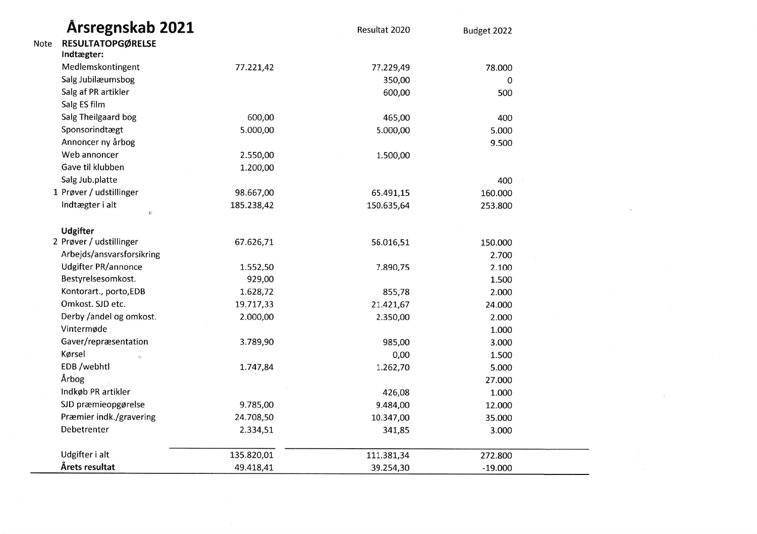|      | <b>Arsregnskab 2021</b>    |            | Resultat 2020 | Budget 2022 |  |
|------|----------------------------|------------|---------------|-------------|--|
| Note | <b>RESULTATOPGØRELSE</b>   |            |               |             |  |
|      | Indtægter:                 |            |               |             |  |
|      | Medlemskontingent          | 77.221,42  | 77.229,49     | 78.000      |  |
|      | Salg Jubilæumsbog          |            | 350,00        | 0           |  |
|      | Salg af PR artikler        |            | 600,00        | 500         |  |
|      | Salg ES film               |            |               |             |  |
|      | Salg Theilgaard bog        | 600,00     | 465,00        | 400         |  |
|      | Sponsorindtægt             | 5.000,00   | 5.000,00      | 5.000       |  |
|      | Annoncer ny årbog          |            |               | 9.500       |  |
|      | Web annoncer               | 2.550,00   | 1.500,00      |             |  |
|      | Gave til klubben           | 1.200,00   |               |             |  |
|      | Salg Jub.platte            |            |               | 400         |  |
|      | 1 Prøver / udstillinger    | 98.667,00  | 65.491,15     | 160.000     |  |
|      | Indtægter i alt            | 185.238,42 | 150.635,64    | 253.800     |  |
|      | $\Phi$                     |            |               |             |  |
|      | <b>Udgifter</b>            |            |               |             |  |
|      | 2 Prøver / udstillinger    | 67.626,71  | 56.016,51     | 150.000     |  |
|      | Arbejds/ansvarsforsikring  |            |               | 2.700       |  |
|      | <b>Udgifter PR/annonce</b> | 1.552,50   | 7.890,75      | 2.100       |  |
|      | Bestyrelsesomkost.         | 929,00     |               | 1.500       |  |
|      | Kontorart., porto, EDB     | 1.628,72   | 855,78        | 2.000       |  |
|      | Omkost. SJD etc.           | 19.717,33  | 21.421,67     | 24.000      |  |
|      | Derby /andel og omkost.    | 2.000,00   | 2.350,00      | 2.000       |  |
|      | Vintermøde                 |            |               | 1.000       |  |
|      | Gaver/repræsentation       | 3.789,90   | 985,00        | 3.000       |  |
|      | Kørsel                     |            | 0,00          | 1.500       |  |
|      | EDB /webhtl                | 1.747,84   | 1.262,70      | 5.000       |  |
|      | Årbog                      |            |               | 27.000      |  |
|      | Indkøb PR artikler         |            | 426,08        | 1.000       |  |
|      | SJD præmieopgørelse        | 9.785,00   | 9.484,00      | 12.000      |  |
|      | Præmier indk./gravering    | 24.708,50  | 10.347,00     | 35.000      |  |
|      | Debetrenter                | 2.334,51   | 341,85        | 3.000       |  |
|      |                            |            |               |             |  |
|      | Udgifter i alt             | 135.820,01 | 111.381,34    | 272.800     |  |
|      | Årets resultat             | 49.418,41  | 39.254,30     | $-19.000$   |  |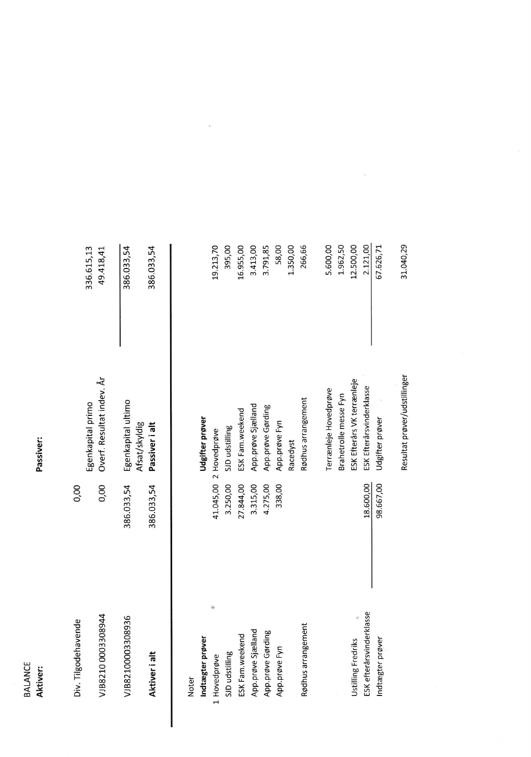**BALANCE**<br>**Aktiver:** 

Passiver:

|                     | 336.615,13<br>49.418,41                        | 386.033,54         | 386.033,54                      |       |                  | 19.213,70         | 395,00         | 16.955,00       | 3.413,00           | 3.791,85          | 58,00         | 1.350,00 | 266,66             | 5.600,00              | 1.962,50              | 12.500,00                  | 2.121,00                 | 67.626,71        | 31.040,29                    |
|---------------------|------------------------------------------------|--------------------|---------------------------------|-------|------------------|-------------------|----------------|-----------------|--------------------|-------------------|---------------|----------|--------------------|-----------------------|-----------------------|----------------------------|--------------------------|------------------|------------------------------|
|                     | Overf. Resultat indev. År<br>Egenkapital primo | Egenkapital ultimo | Afsat/skyldig<br>Passiver i alt |       | Udgifter prøver  | 2 Hovedprøve      | SJD udstilling | ESK Fam.weekend | App.prøve Sjælland | App.prøve Gørding | App.prøve Fyn | Racedyst | Rødhus arrangement | Terrænleje Hovedprøve | Brahetrolle messe Fyn | ESK Efterårs VK terrænleje | ESK Efterårsvinderklasse | Udgifter prøver  | Resultat prøver/udstillinger |
| 0,00                | 0,00                                           | 386.033,54         | 386.033,54                      |       |                  | 41.045,00         | 3.250,00       | 27.844,00       | 3.315,00           | 4.275,00          | 338,00        |          |                    |                       |                       |                            | 18.600,00                | 98.667,00        |                              |
| Div. Tilgodehavende | VJB82100003308944                              | VJB82100003308936  | Aktiver i alt                   | Noter | Indtægter prøver | ₩<br>1 Hovedprøve | SJD udstilling | ESK Fam.weekend | App.prøve Sjælland | App.prøve Gørding | App.prøve Fyn |          | Rødhus arrangement |                       |                       | Ustilling Fredriks         | ESK efterårsvinderklasse | Indtægter prøver |                              |
|                     |                                                |                    |                                 |       |                  |                   |                |                 |                    |                   |               |          |                    |                       |                       |                            |                          |                  |                              |

 $\ddot{\phantom{1}}$ 

 $\overline{\phantom{a}}$